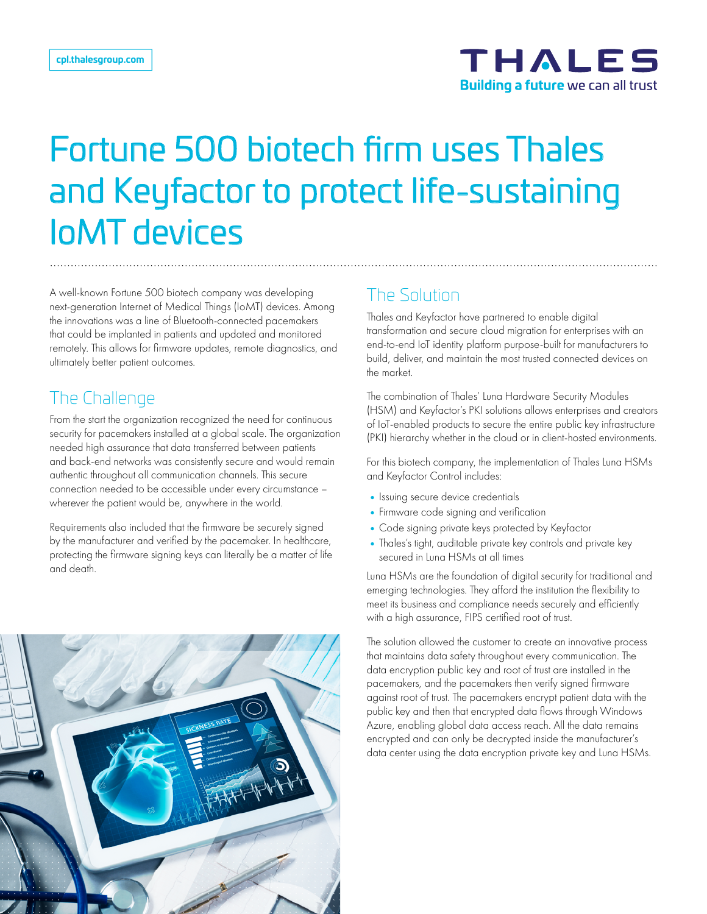

# Fortune 500 biotech firm uses Thales and Keyfactor to protect life-sustaining IoMT devices

A well-known Fortune 500 biotech company was developing next-generation Internet of Medical Things (IoMT) devices. Among the innovations was a line of Bluetooth-connected pacemakers that could be implanted in patients and updated and monitored remotely. This allows for firmware updates, remote diagnostics, and ultimately better patient outcomes.

### The Challenge

From the start the organization recognized the need for continuous security for pacemakers installed at a global scale. The organization needed high assurance that data transferred between patients and back-end networks was consistently secure and would remain authentic throughout all communication channels. This secure connection needed to be accessible under every circumstance – wherever the patient would be, anywhere in the world.

Requirements also included that the firmware be securely signed by the manufacturer and verified by the pacemaker. In healthcare, protecting the firmware signing keys can literally be a matter of life and death.



# The Solution

Thales and Keyfactor have partnered to enable digital transformation and secure cloud migration for enterprises with an end-to-end IoT identity platform purpose-built for manufacturers to build, deliver, and maintain the most trusted connected devices on the market.

The combination of Thales' Luna Hardware Security Modules (HSM) and Keyfactor's PKI solutions allows enterprises and creators of IoT-enabled products to secure the entire public key infrastructure (PKI) hierarchy whether in the cloud or in client-hosted environments.

For this biotech company, the implementation of Thales Luna HSMs and Keyfactor Control includes:

- Issuing secure device credentials
- •Firmware code signing and verification
- •Code signing private keys protected by Keyfactor
- •Thales's tight, auditable private key controls and private key secured in Luna HSMs at all times

Luna HSMs are the foundation of digital security for traditional and emerging technologies. They afford the institution the flexibility to meet its business and compliance needs securely and efficiently with a high assurance, FIPS certified root of trust.

The solution allowed the customer to create an innovative process that maintains data safety throughout every communication. The data encryption public key and root of trust are installed in the pacemakers, and the pacemakers then verify signed firmware against root of trust. The pacemakers encrypt patient data with the public key and then that encrypted data flows through Windows Azure, enabling global data access reach. All the data remains encrypted and can only be decrypted inside the manufacturer's data center using the data encryption private key and Luna HSMs.